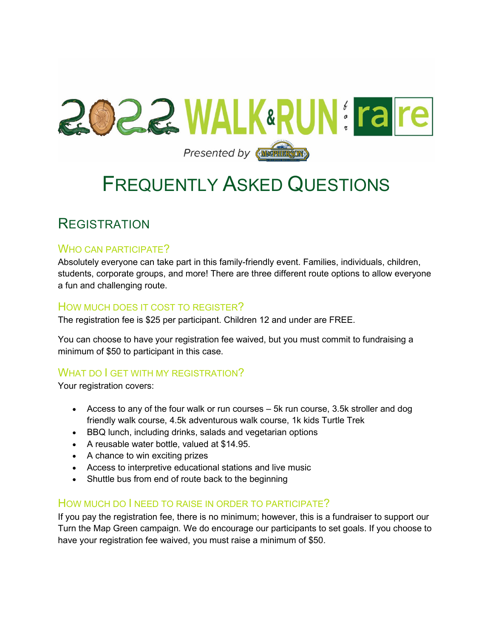

# FREQUENTLY ASKED QUESTIONS

### **REGISTRATION**

#### WHO CAN PARTICIPATE?

Absolutely everyone can take part in this family-friendly event. Families, individuals, children, students, corporate groups, and more! There are three different route options to allow everyone a fun and challenging route.

#### HOW MUCH DOES IT COST TO REGISTER?

The registration fee is \$25 per participant. Children 12 and under are FREE.

You can choose to have your registration fee waived, but you must commit to fundraising a minimum of \$50 to participant in this case.

#### WHAT DO I GET WITH MY REGISTRATION?

Your registration covers:

- Access to any of the four walk or run courses 5k run course, 3.5k stroller and dog friendly walk course, 4.5k adventurous walk course, 1k kids Turtle Trek
- BBQ lunch, including drinks, salads and vegetarian options
- A reusable water bottle, valued at \$14.95.
- A chance to win exciting prizes
- Access to interpretive educational stations and live music
- Shuttle bus from end of route back to the beginning

#### HOW MUCH DO I NEED TO RAISE IN ORDER TO PARTICIPATE?

If you pay the registration fee, there is no minimum; however, this is a fundraiser to support our Turn the Map Green campaign*.* We do encourage our participants to set goals. If you choose to have your registration fee waived, you must raise a minimum of \$50.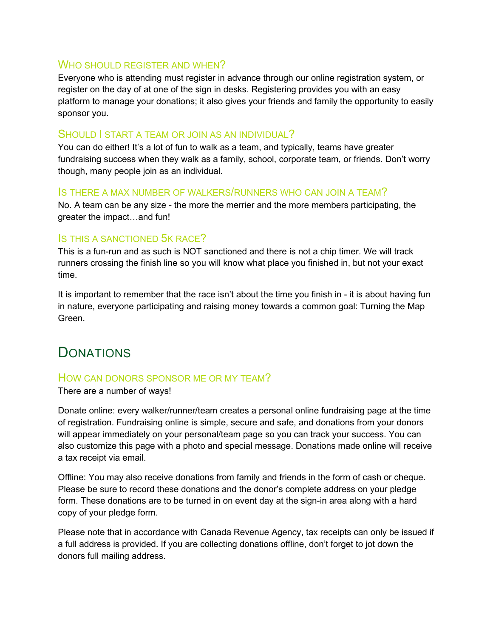#### WHO SHOULD REGISTER AND WHEN?

Everyone who is attending must register in advance through our online registration system, or register on the day of at one of the sign in desks. Registering provides you with an easy platform to manage your donations; it also gives your friends and family the opportunity to easily sponsor you.

#### SHOULD I START A TEAM OR JOIN AS AN INDIVIDUAL?

You can do either! It's a lot of fun to walk as a team, and typically, teams have greater fundraising success when they walk as a family, school, corporate team, or friends. Don't worry though, many people join as an individual.

#### IS THERE A MAX NUMBER OF WALKERS/RUNNERS WHO CAN JOIN A TEAM?

No. A team can be any size - the more the merrier and the more members participating, the greater the impact…and fun!

#### IS THIS A SANCTIONED 5K RACE?

This is a fun-run and as such is NOT sanctioned and there is not a chip timer. We will track runners crossing the finish line so you will know what place you finished in, but not your exact time.

It is important to remember that the race isn't about the time you finish in - it is about having fun in nature, everyone participating and raising money towards a common goal: Turning the Map Green.

## DONATIONS

#### HOW CAN DONORS SPONSOR ME OR MY TEAM?

There are a number of ways!

Donate online: every walker/runner/team creates a personal online fundraising page at the time of registration. Fundraising online is simple, secure and safe, and donations from your donors will appear immediately on your personal/team page so you can track your success. You can also customize this page with a photo and special message. Donations made online will receive a tax receipt via email.

Offline: You may also receive donations from family and friends in the form of cash or cheque. Please be sure to record these donations and the donor's complete address on your pledge form. These donations are to be turned in on event day at the sign-in area along with a hard copy of your pledge form.

Please note that in accordance with Canada Revenue Agency, tax receipts can only be issued if a full address is provided. If you are collecting donations offline, don't forget to jot down the donors full mailing address.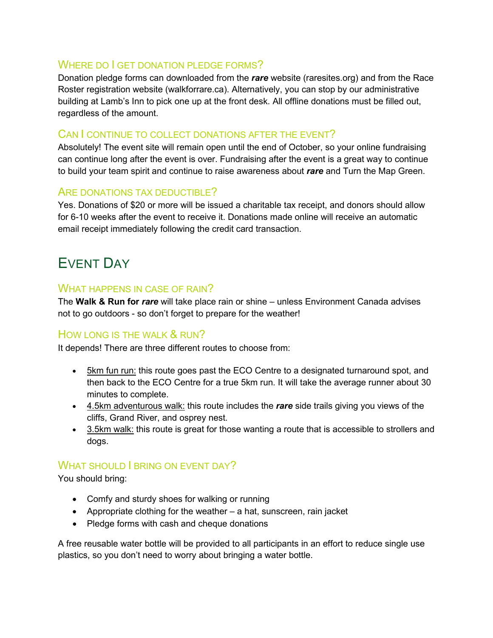#### WHERE DO I GET DONATION PLEDGE FORMS?

Donation pledge forms can downloaded from the *rare* website (raresites.org) and from the Race Roster registration website (walkforrare.ca). Alternatively, you can stop by our administrative building at Lamb's Inn to pick one up at the front desk. All offline donations must be filled out, regardless of the amount.

#### CAN I CONTINUE TO COLLECT DONATIONS AFTER THE EVENT?

Absolutely! The event site will remain open until the end of October, so your online fundraising can continue long after the event is over. Fundraising after the event is a great way to continue to build your team spirit and continue to raise awareness about *rare* and Turn the Map Green.

#### ARE DONATIONS TAX DEDUCTIBLE?

Yes. Donations of \$20 or more will be issued a charitable tax receipt, and donors should allow for 6-10 weeks after the event to receive it. Donations made online will receive an automatic email receipt immediately following the credit card transaction.

## EVENT DAY

#### WHAT HAPPENS IN CASE OF RAIN?

The **Walk & Run for** *rare* will take place rain or shine – unless Environment Canada advises not to go outdoors - so don't forget to prepare for the weather!

#### HOW LONG IS THE WALK & RUN?

It depends! There are three different routes to choose from:

- 5km fun run: this route goes past the ECO Centre to a designated turnaround spot, and then back to the ECO Centre for a true 5km run. It will take the average runner about 30 minutes to complete.
- 4.5km adventurous walk: this route includes the *rare* side trails giving you views of the cliffs, Grand River, and osprey nest.
- $\bullet$  3.5km walk: this route is great for those wanting a route that is accessible to strollers and dogs.

#### WHAT SHOULD I BRING ON EVENT DAY?

You should bring:

- Comfy and sturdy shoes for walking or running
- Appropriate clothing for the weather a hat, sunscreen, rain jacket
- Pledge forms with cash and cheque donations

A free reusable water bottle will be provided to all participants in an effort to reduce single use plastics, so you don't need to worry about bringing a water bottle.